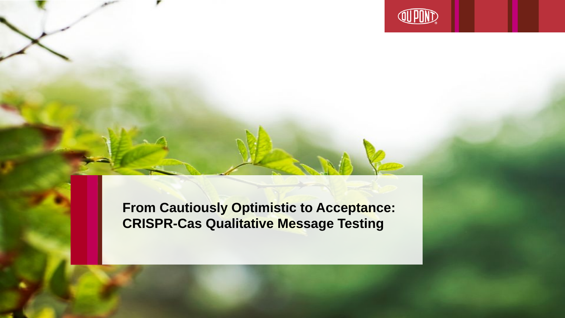

**From Cautiously Optimistic to Acceptance: CRISPR-Cas Qualitative Message Testing**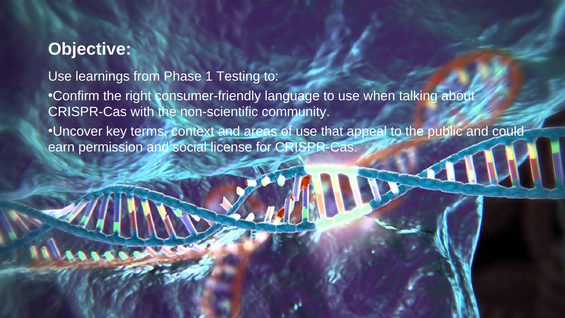# **Objective:**

Use learnings from Phase 1 Testing to:

•Confirm the right consumer-friendly language to use when talking about CRISPR-Cas with the non-scientific community.

•Uncover key terms, context and areas of use that appeal to the public and could earn permission and social license for CRISPR-Cas.

© 2016 PHII 2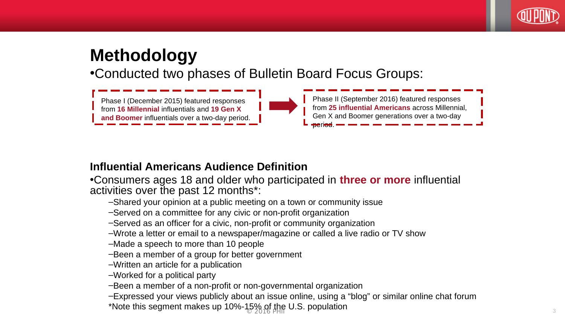

### **Methodology**

•Conducted two phases of Bulletin Board Focus Groups:



### **Influential Americans Audience Definition**

•Consumers ages 18 and older who participated in **three or more** influential activities over the past 12 months\*:

–Shared your opinion at a public meeting on a town or community issue

–Served on a committee for any civic or non-profit organization

–Served as an officer for a civic, non-profit or community organization

–Wrote a letter or email to a newspaper/magazine or called a live radio or TV show

–Made a speech to more than 10 people

–Been a member of a group for better government

–Written an article for a publication

–Worked for a political party

–Been a member of a non-profit or non-governmental organization

–Expressed your views publicly about an issue online, using a "blog" or similar online chat forum

 $\frac{1}{2016}$  PHII 3.3 Population \*Note this segment makes up 10%-15% of the U.S. population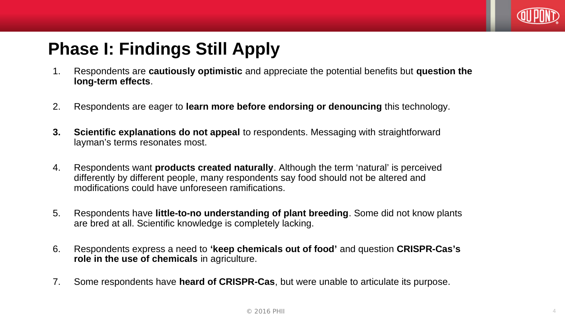

# **Phase I: Findings Still Apply**

- 1. Respondents are **cautiously optimistic** and appreciate the potential benefits but **question the long-term effects**.
- 2. Respondents are eager to **learn more before endorsing or denouncing** this technology.
- **3. Scientific explanations do not appeal** to respondents. Messaging with straightforward layman's terms resonates most.
- 4. Respondents want **products created naturally**. Although the term 'natural' is perceived differently by different people, many respondents say food should not be altered and modifications could have unforeseen ramifications.
- 5. Respondents have **little-to-no understanding of plant breeding**. Some did not know plants are bred at all. Scientific knowledge is completely lacking.
- 6. Respondents express a need to **'keep chemicals out of food'** and question **CRISPR-Cas's role in the use of chemicals** in agriculture.
- 7. Some respondents have **heard of CRISPR-Cas**, but were unable to articulate its purpose.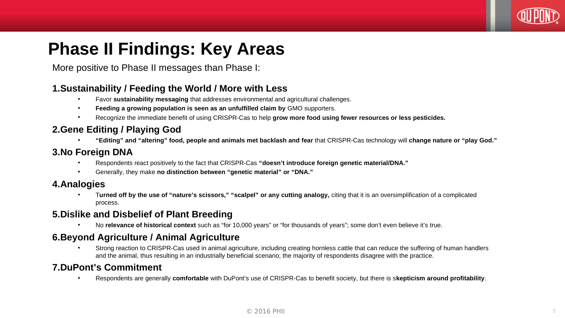

# **Phase II Findings: Key Areas**

More positive to Phase II messages than Phase I:

### **1.Sustainability / Feeding the World / More with Less**

- Favor **sustainability messaging** that addresses environmental and agricultural challenges.
- **Feeding a growing population is seen as an unfulfilled claim by** GMO supporters.
- Recognize the immediate benefit of using CRISPR-Cas to help **grow more food using fewer resources or less pesticides.**

### **2.Gene Editing / Playing God**

• **"Editing" and "altering" food, people and animals met backlash and fear** that CRISPR-Cas technology will **change nature or "play God."** 

### **3.No Foreign DNA**

- Respondents react positively to the fact that CRISPR-Cas **"doesn't introduce foreign genetic material/DNA."**
- Generally, they make **no distinction between "genetic material" or "DNA."**

### **4.Analogies**

• T**urned off by the use of "nature's scissors," "scalpel" or any cutting analogy,** citing that it is an oversimplification of a complicated process.

### **5.Dislike and Disbelief of Plant Breeding**

• No **relevance of historical context** such as "for 10,000 years" or "for thousands of years"; some don't even believe it's true.

### **6.Beyond Agriculture / Animal Agriculture**

• Strong reaction to CRISPR-Cas used in animal agriculture, including creating hornless cattle that can reduce the suffering of human handlers and the animal, thus resulting in an industrially beneficial scenario; the majority of respondents disagree with the practice.

### **7.DuPont's Commitment**

• Respondents are generally **comfortable** with DuPont's use of CRISPR-Cas to benefit society, but there is s**kepticism around profitability**.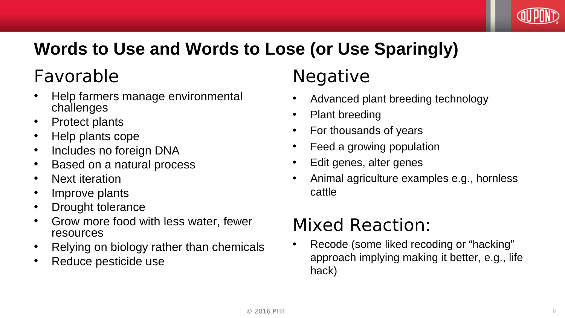

# **Words to Use and Words to Lose (or Use Sparingly)**

# Favorable

- Help farmers manage environmental challenges
- Protect plants
- Help plants cope
- Includes no foreign DNA
- Based on a natural process
- Next iteration
- Improve plants
- Drought tolerance
- Grow more food with less water, fewer resources
- Relying on biology rather than chemicals
- Reduce pesticide use

# Negative

- Advanced plant breeding technology
- Plant breeding
- For thousands of years
- Feed a growing population
- Edit genes, alter genes
- Animal agriculture examples e.g., hornless cattle

# Mixed Reaction:

• Recode (some liked recoding or "hacking" approach implying making it better, e.g., life hack)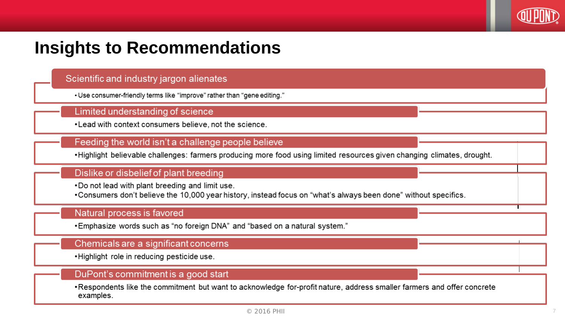

### **Insights to Recommendations**

### Scientific and industry jargon alienates

• Use consumer-friendly terms like "improve" rather than "gene editing."

### Limited understanding of science

. Lead with context consumers believe, not the science.

### Feeding the world isn't a challenge people believe

. Highlight believable challenges: farmers producing more food using limited resources given changing climates, drought.

#### Dislike or disbelief of plant breeding

.Do not lead with plant breeding and limit use.

•Consumers don't believe the 10,000 year history, instead focus on "what's always been done" without specifics.

### Natural process is favored

\*Emphasize words such as "no foreign DNA" and "based on a natural system."

### Chemicals are a significant concerns

.Highlight role in reducing pesticide use.

### DuPont's commitment is a good start

•Respondents like the commitment but want to acknowledge for-profit nature, address smaller farmers and offer concrete examples.